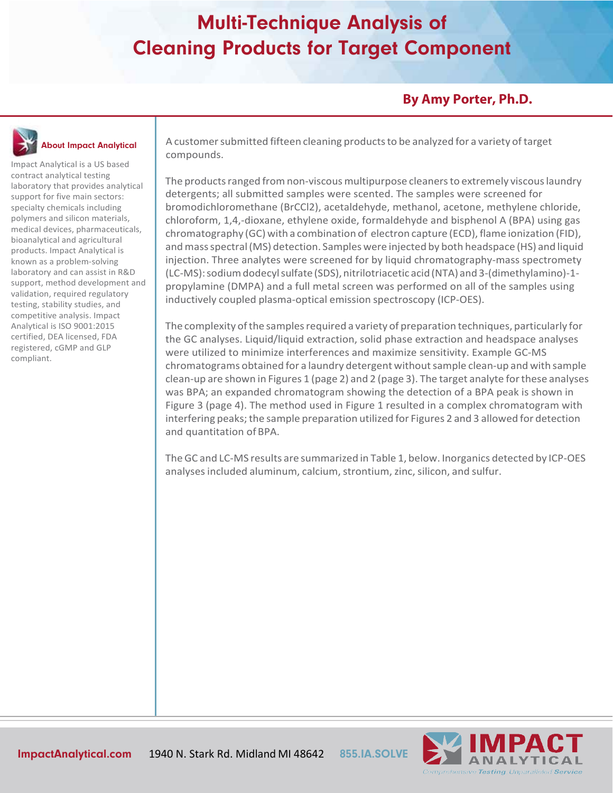### **By Amy Porter, Ph.D.**

# About Impact Analytical

Impact Analytical is a US based contract analytical testing laboratory that provides analytical support for five main sectors: specialty chemicals including polymers and silicon materials, medical devices, pharmaceuticals, bioanalytical and agricultural products. Impact Analytical is known as a problem-solving laboratory and can assist in R&D support, method development and validation, required regulatory testing, stability studies, and competitive analysis. Impact Analytical is ISO 9001:2015 certified, DEA licensed, FDA registered, cGMP and GLP compliant.

A customersubmitted fifteen cleaning productsto be analyzed for a variety oftarget compounds.

The products ranged from non-viscous multipurpose cleaners to extremely viscous laundry detergents; all submitted samples were scented. The samples were screened for bromodichloromethane (BrCCl2), acetaldehyde, methanol, acetone, methylene chloride, chloroform, 1,4,-dioxane, ethylene oxide, formaldehyde and bisphenol A (BPA) using gas chromatography (GC) with a combination of electron capture (ECD), flame ionization (FID), andmassspectral(MS) detection. Samples were injected by both headspace (HS) and liquid injection. Three analytes were screened for by liquid chromatography-mass spectromety (LC-MS): sodium dodecyl sulfate (SDS), nitrilotriacetic acid (NTA) and 3-(dimethylamino)-1propylamine (DMPA) and a full metal screen was performed on all of the samples using inductively coupled plasma-optical emission spectroscopy (ICP-OES).

The complexity of the samples required a variety of preparation techniques, particularly for the GC analyses. Liquid/liquid extraction, solid phase extraction and headspace analyses were utilized to minimize interferences and maximize sensitivity. Example GC-MS chromatograms obtained for a laundry detergent withoutsample clean-up and with sample clean-up are shown in Figures 1 (page 2) and 2 (page 3). The target analyte forthese analyses was BPA; an expanded chromatogram showing the detection of a BPA peak is shown in Figure 3 (page 4). The method used in Figure 1 resulted in a complex chromatogram with interfering peaks; the sample preparation utilized for Figures 2 and 3 allowed for detection and quantitation of BPA.

TheGC and LC-MS results are summarized in Table 1, below. Inorganics detected by ICP-OES analyses included aluminum, calcium, strontium, zinc, silicon, and sulfur.

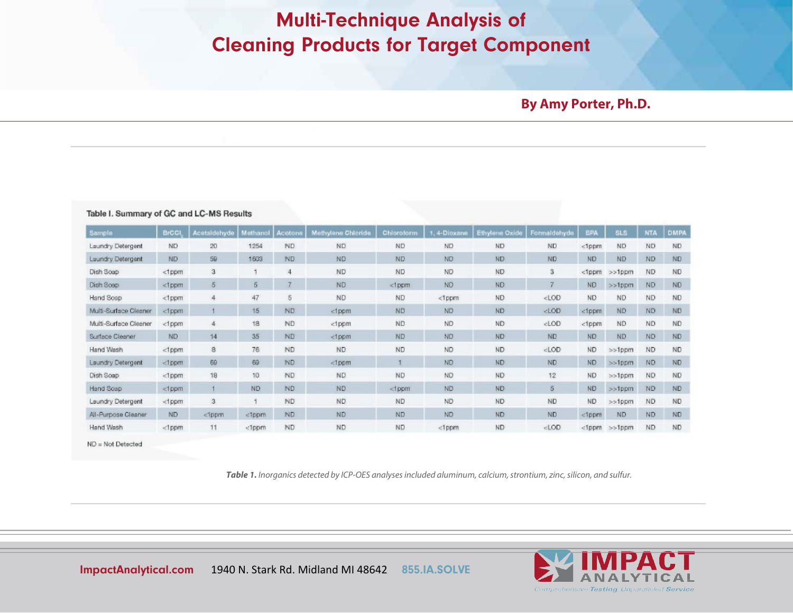#### **By Amy Porter, Ph.D.**

| Sample                | <b>BrCCI</b> | Acetaldehyde | Methanol | Acetone        | Methylene Chloride                                                                                                                                          | Chioroform | 1, 4-Dioxane | <b>Ethylene Oxide</b> | Formaldehyde                                                                        | <b>BPA</b> | <b>SLS</b> | <b>NTA</b> | <b>DMPA</b> |
|-----------------------|--------------|--------------|----------|----------------|-------------------------------------------------------------------------------------------------------------------------------------------------------------|------------|--------------|-----------------------|-------------------------------------------------------------------------------------|------------|------------|------------|-------------|
| Laundry Detergent     | <b>ND</b>    | 20           | 1254     | ND.            | <b>ND</b>                                                                                                                                                   | <b>ND</b>  | <b>ND</b>    | ND.                   | <b>ND</b>                                                                           | <1ppm      | <b>ND</b>  | <b>ND</b>  | <b>ND</b>   |
| Laundry Detergent     | ND.          | 59           | 1603     | ND.            | ND.                                                                                                                                                         | ND.        | ND:          | ND:                   | ND.                                                                                 | ND.        | <b>ND</b>  | <b>ND</b>  | ND.         |
| Dish Soap             | <1ppm        | з            |          | $\overline{4}$ | <b>ND</b>                                                                                                                                                   | ND.        | ND.          | ND <sup></sup>        | з                                                                                   | <1ppm      | $>>1$ ppm  | <b>ND</b>  | ND.         |
| Dish Soap             | <1ppm        | 5            | 5        | 7              | <b>ND</b>                                                                                                                                                   | $<$ 1 ppm  | ND.          | ND                    | 7                                                                                   | ND.        | $>>1$ ppm  | <b>ND</b>  | ND          |
| Hand Soap             | <1ppm        | 4            | 47       | 5              | <b>ND</b>                                                                                                                                                   | <b>ND</b>  | <1ppm        | ND.                   | $<$ LOD                                                                             | <b>ND</b>  | <b>ND</b>  | <b>ND</b>  | ND.         |
| Multi-Surface Cleaner | <1ppm        |              | 15       | <b>ND</b>      | <tppm< td=""><td>ND.</td><td><b>ND</b></td><td>ND.</td><td><lod< td=""><td>&lt;1ppm</td><td><b>ND</b></td><td><b>ND</b></td><td>ND</td></lod<></td></tppm<> | ND.        | <b>ND</b>    | ND.                   | <lod< td=""><td>&lt;1ppm</td><td><b>ND</b></td><td><b>ND</b></td><td>ND</td></lod<> | <1ppm      | <b>ND</b>  | <b>ND</b>  | ND          |
| Multi-Surface Cleaner | <1ppm        | 4            | 18       | <b>ND</b>      | <1ppm                                                                                                                                                       | <b>ND</b>  | <b>ND</b>    | ND                    | cLOD                                                                                | <1ppm      | <b>ND</b>  | <b>ND</b>  | ND.         |
| Surface Cleaner       | ND.          | 14           | 35       | <b>ND</b>      | <1ppm                                                                                                                                                       | <b>ND</b>  | ND.          | ND.                   | <b>ND</b>                                                                           | <b>ND</b>  | <b>ND</b>  | <b>ND</b>  | ND.         |
| Hand Wash             | <1ppm        | 8            | 76       | ND.            | ND.                                                                                                                                                         | ND.        | <b>ND</b>    | ND.                   | $<$ LOD                                                                             | ND         | >>1ppm     | <b>ND</b>  | ND.         |
| Laundry Detergent     | <1ppm        | 69           | 69       | ND.            | <1ppm                                                                                                                                                       | т          | ND.          | ND.                   | ND                                                                                  | ND.        | $>>1$ ppm  | ND.        | ND          |
| Dish Soap             | <1ppm        | 18           | 10       | ND.            | <b>ND</b>                                                                                                                                                   | ND.        | <b>ND</b>    | ND.                   | 12                                                                                  | ND.        | $>>1$ ppm  | <b>ND</b>  | ND.         |
| Hand Soap             | <1ppm        |              | ND.      | ND             | <b>ND</b>                                                                                                                                                   | <1ppm      | <b>ND</b>    | ND                    | 5                                                                                   | <b>ND</b>  | >>1ppm     | <b>ND</b>  | ND          |
| Laundry Detergent     | <1ppm        | 3            |          | <b>ND</b>      | ND.                                                                                                                                                         | <b>ND</b>  | <b>ND</b>    | ND                    | <b>ND</b>                                                                           | <b>ND</b>  | $>>1$ ppm  | <b>ND</b>  | ND.         |
| All-Purpose Cleaner   | ND.          | <1ppm        | <1ppm    | ND.            | <b>ND</b>                                                                                                                                                   | ND.        | <b>ND</b>    | ND.                   | ND.                                                                                 | <1ppm      | <b>ND</b>  | <b>ND</b>  | ND          |
| Hand Wash             | <1ppm        | 11           | <1ppm    | <b>ND</b>      | ND.                                                                                                                                                         | ND.        | <1ppm        | ND.                   | cLOD                                                                                | $<1$ ppm   | $>>1$ ppm  | <b>ND</b>  | ND.         |

 $ND = Not$  Detected

*Table 1. Inorganics detected by ICP-OES analyses included aluminum, calcium, strontium, zinc, silicon, and sulfur.*

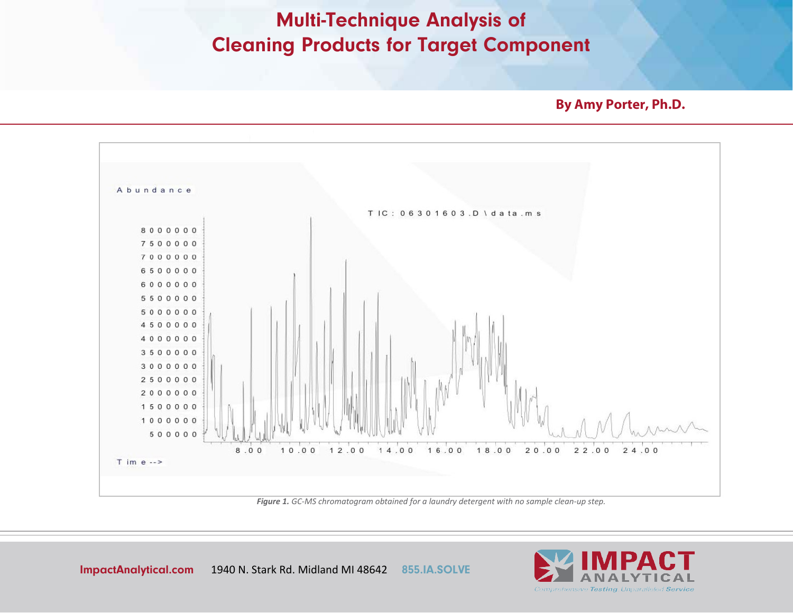**By Amy Porter, Ph.D.**



*Figure 1. GC-MS chromatogram obtained for a laundry detergent with no sample clean-up step.*

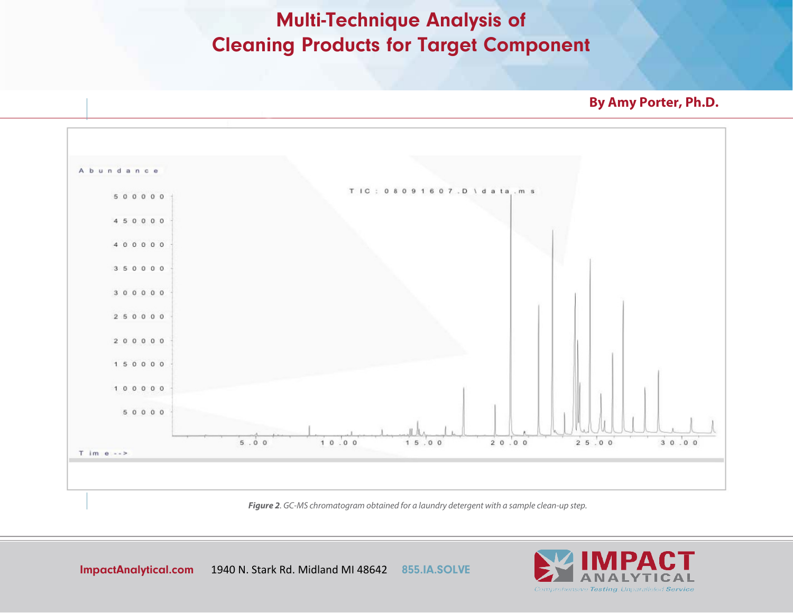**By Amy Porter, Ph.D.**



*Figure 2. GC-MS chromatogram obtained for a laundry detergent with a sample clean-up step.*

ImpactAnalytical.com 1940 N. Stark Rd. Midland MI 48642 855.IA.SOLVE